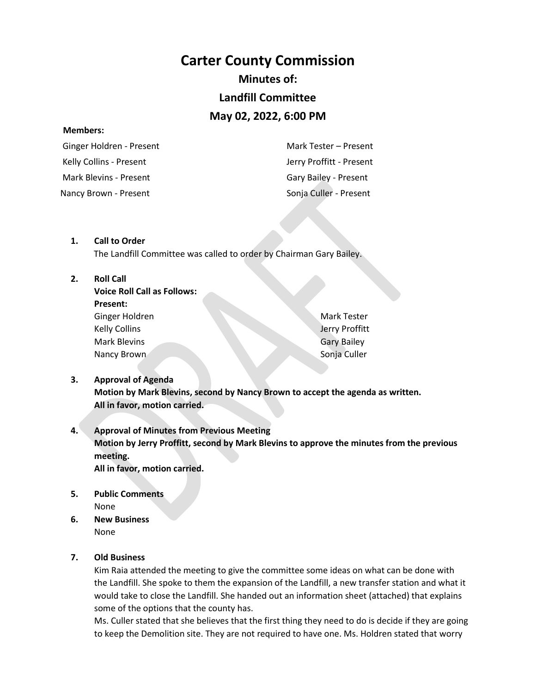# **Carter County Commission**

# **Minutes of:**

## **Landfill Committee**

# **May 02, 2022, 6:00 PM**

#### **Members:**

 Ginger Holdren - Present Kelly Collins - Present Mark Blevins - Present Mark Tester – Present Jerry Proffitt - Present Gary Bailey - Present Nancy Brown - Present Sonja Culler - Present

#### **1. Call to Order**

The Landfill Committee was called to order by Chairman Gary Bailey.

#### **2. Roll Call**

| <b>Voice Roll Call as Follows:</b> |  |
|------------------------------------|--|
| <b>Present:</b>                    |  |
| Ginger Holdren                     |  |
| <b>Kelly Collins</b>               |  |
| Mark Blevins                       |  |
| Nancy Brown                        |  |

Mark Tester Jerry Proffitt Gary Bailey Sonja Culler

## **3. Approval of Agenda Motion by Mark Blevins, second by Nancy Brown to accept the agenda as written. All in favor, motion carried.**

## **4. Approval of Minutes from Previous Meeting Motion by Jerry Proffitt, second by Mark Blevins to approve the minutes from the previous meeting. All in favor, motion carried.**

**5. Public Comments**

None

**6. New Business** None

## **7. Old Business**

Kim Raia attended the meeting to give the committee some ideas on what can be done with the Landfill. She spoke to them the expansion of the Landfill, a new transfer station and what it would take to close the Landfill. She handed out an information sheet (attached) that explains some of the options that the county has.

Ms. Culler stated that she believes that the first thing they need to do is decide if they are going to keep the Demolition site. They are not required to have one. Ms. Holdren stated that worry